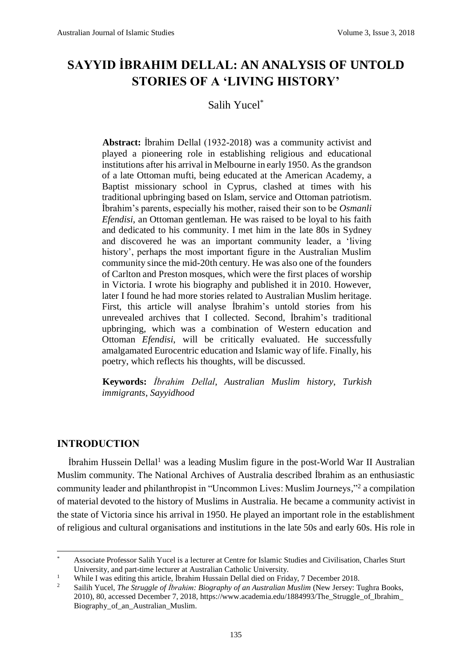# **SAYYID İBRAHIM DELLAL: AN ANALYSIS OF UNTOLD STORIES OF A 'LIVING HISTORY'**

# Salih Yucel\*

**Abstract:** İbrahim Dellal (1932-2018) was a community activist and played a pioneering role in establishing religious and educational institutions after his arrival in Melbourne in early 1950. As the grandson of a late Ottoman mufti, being educated at the American Academy, a Baptist missionary school in Cyprus, clashed at times with his traditional upbringing based on Islam, service and Ottoman patriotism. İbrahim's parents, especially his mother, raised their son to be *Osmanli Efendisi*, an Ottoman gentleman. He was raised to be loyal to his faith and dedicated to his community. I met him in the late 80s in Sydney and discovered he was an important community leader, a 'living history', perhaps the most important figure in the Australian Muslim community since the mid-20th century. He was also one of the founders of Carlton and Preston mosques, which were the first places of worship in Victoria. I wrote his biography and published it in 2010. However, later I found he had more stories related to Australian Muslim heritage. First, this article will analyse İbrahim's untold stories from his unrevealed archives that I collected. Second, İbrahim's traditional upbringing, which was a combination of Western education and Ottoman *Efendisi*, will be critically evaluated. He successfully amalgamated Eurocentric education and Islamic way of life. Finally, his poetry, which reflects his thoughts, will be discussed.

**Keywords:** *İbrahim Dellal*, *Australian Muslim history*, *Turkish immigrants*, *Sayyidhood*

## **INTRODUCTION**

.

İbrahim Hussein Dellal<sup>1</sup> was a leading Muslim figure in the post-World War II Australian Muslim community. The National Archives of Australia described İbrahim as an enthusiastic community leader and philanthropist in "Uncommon Lives: Muslim Journeys," <sup>2</sup> a compilation of material devoted to the history of Muslims in Australia. He became a community activist in the state of Victoria since his arrival in 1950. He played an important role in the establishment of religious and cultural organisations and institutions in the late 50s and early 60s. His role in

<sup>\*</sup> Associate Professor Salih Yucel is a lecturer at Centre for Islamic Studies and Civilisation, Charles Sturt University, and part-time lecturer at Australian Catholic University.

<sup>&</sup>lt;sup>1</sup> While I was editing this article, İbrahim Hussain Dellal died on Friday, 7 December 2018.<br><sup>2</sup> Soilih Nucel *The Struggle of İbrahim: Biography of an Australian Muslim (Now Jersey: T* 

<sup>2</sup> Sailih Yucel, *The Struggle of İbrahim: Biography of an Australian Muslim* (New Jersey: Tughra Books, 2010), 80, accessed December 7, 2018, https://www.academia.edu/1884993/The\_Struggle\_of\_Ibrahim\_ Biography\_of\_an\_Australian\_Muslim.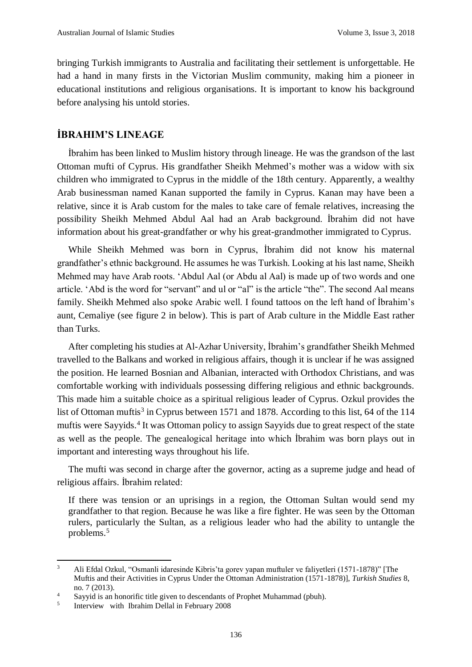bringing Turkish immigrants to Australia and facilitating their settlement is unforgettable. He had a hand in many firsts in the Victorian Muslim community, making him a pioneer in educational institutions and religious organisations. It is important to know his background before analysing his untold stories.

# **İBRAHIM'S LINEAGE**

İbrahim has been linked to Muslim history through lineage. He was the grandson of the last Ottoman mufti of Cyprus. His grandfather Sheikh Mehmed's mother was a widow with six children who immigrated to Cyprus in the middle of the 18th century. Apparently, a wealthy Arab businessman named Kanan supported the family in Cyprus. Kanan may have been a relative, since it is Arab custom for the males to take care of female relatives, increasing the possibility Sheikh Mehmed Abdul Aal had an Arab background. İbrahim did not have information about his great-grandfather or why his great-grandmother immigrated to Cyprus.

While Sheikh Mehmed was born in Cyprus, İbrahim did not know his maternal grandfather's ethnic background. He assumes he was Turkish. Looking at his last name, Sheikh Mehmed may have Arab roots. 'Abdul Aal (or Abdu al Aal) is made up of two words and one article. 'Abd is the word for "servant" and ul or "al" is the article "the". The second Aal means family. Sheikh Mehmed also spoke Arabic well. I found tattoos on the left hand of İbrahim's aunt, Cemaliye (see figure 2 in below). This is part of Arab culture in the Middle East rather than Turks.

After completing his studies at Al-Azhar University, İbrahim's grandfather Sheikh Mehmed travelled to the Balkans and worked in religious affairs, though it is unclear if he was assigned the position. He learned Bosnian and Albanian, interacted with Orthodox Christians, and was comfortable working with individuals possessing differing religious and ethnic backgrounds. This made him a suitable choice as a spiritual religious leader of Cyprus. Ozkul provides the list of Ottoman muftis<sup>3</sup> in Cyprus between 1571 and 1878. According to this list, 64 of the 114 muftis were Sayyids.<sup>4</sup> It was Ottoman policy to assign Sayyids due to great respect of the state as well as the people. The genealogical heritage into which İbrahim was born plays out in important and interesting ways throughout his life.

The mufti was second in charge after the governor, acting as a supreme judge and head of religious affairs. İbrahim related:

If there was tension or an uprisings in a region, the Ottoman Sultan would send my grandfather to that region. Because he was like a fire fighter. He was seen by the Ottoman rulers, particularly the Sultan, as a religious leader who had the ability to untangle the problems.<sup>5</sup>

<sup>3</sup> Ali Efdal Ozkul, "Osmanli idaresinde Kibris'ta gorev yapan muftuler ve faliyetleri (1571-1878)" [The Muftis and their Activities in Cyprus Under the Ottoman Administration (1571-1878)], *Turkish Studies* 8, no. 7 (2013).

<sup>&</sup>lt;sup>4</sup> Sayyid is an honorific title given to descendants of Prophet Muhammad (pbuh).

<sup>5</sup> Interview with Ibrahim Dellal in February 2008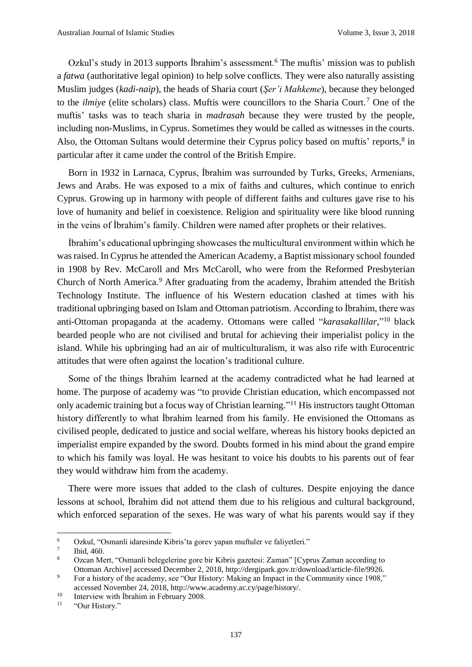Ozkul's study in 2013 supports Ibrahim's assessment.<sup>6</sup> The muftis' mission was to publish a *fatwa* (authoritative legal opinion) to help solve conflicts. They were also naturally assisting Muslim judges (*kadi-naip*), the heads of Sharia court (*Şer'i Mahkeme*), because they belonged to the *ilmiye* (elite scholars) class. Muftis were councillors to the Sharia Court.<sup>7</sup> One of the muftis' tasks was to teach sharia in *madrasah* because they were trusted by the people, including non-Muslims, in Cyprus. Sometimes they would be called as witnesses in the courts. Also, the Ottoman Sultans would determine their Cyprus policy based on muftis' reports,<sup>8</sup> in particular after it came under the control of the British Empire.

Born in 1932 in Larnaca, Cyprus, İbrahim was surrounded by Turks, Greeks, Armenians, Jews and Arabs. He was exposed to a mix of faiths and cultures, which continue to enrich Cyprus. Growing up in harmony with people of different faiths and cultures gave rise to his love of humanity and belief in coexistence. Religion and spirituality were like blood running in the veins of İbrahim's family. Children were named after prophets or their relatives.

İbrahim's educational upbringing showcases the multicultural environment within which he was raised. In Cyprus he attended the American Academy, a Baptist missionary school founded in 1908 by Rev. McCaroll and Mrs McCaroll, who were from the Reformed Presbyterian Church of North America.<sup>9</sup> After graduating from the academy, İbrahim attended the British Technology Institute. The influence of his Western education clashed at times with his traditional upbringing based on Islam and Ottoman patriotism. According to İbrahim, there was anti-Ottoman propaganda at the academy. Ottomans were called "*karasakallilar*," <sup>10</sup> black bearded people who are not civilised and brutal for achieving their imperialist policy in the island. While his upbringing had an air of multiculturalism, it was also rife with Eurocentric attitudes that were often against the location's traditional culture.

Some of the things İbrahim learned at the academy contradicted what he had learned at home. The purpose of academy was "to provide Christian education, which encompassed not only academic training but a focus way of Christian learning."<sup>11</sup> His instructors taught Ottoman history differently to what İbrahim learned from his family. He envisioned the Ottomans as civilised people, dedicated to justice and social welfare, whereas his history books depicted an imperialist empire expanded by the sword. Doubts formed in his mind about the grand empire to which his family was loyal. He was hesitant to voice his doubts to his parents out of fear they would withdraw him from the academy.

There were more issues that added to the clash of cultures. Despite enjoying the dance lessons at school, İbrahim did not attend them due to his religious and cultural background, which enforced separation of the sexes. He was wary of what his parents would say if they

<sup>6</sup> Ozkul, "Osmanli idaresinde Kibris'ta gorev yapan muftuler ve faliyetleri."

<sup>7</sup> Ibid, 460.

<sup>8</sup> Ozcan Mert, "Osmanli belegelerine gore bir Kibris gazetesi: Zaman" [Cyprus Zaman according to Ottoman Archive] accessed December 2, 2018, http://dergipark.gov.tr/download/article-file/9926.

<sup>&</sup>lt;sup>9</sup> For a history of the academy, see "Our History: Making an Impact in the Community since 1908," accessed November 24, 2018, http://www.academy.ac.cy/page/history/.

<sup>&</sup>lt;sup>10</sup> Interview with Ibrahim in February 2008.<br>
"Our History"

<sup>&</sup>quot;Our History."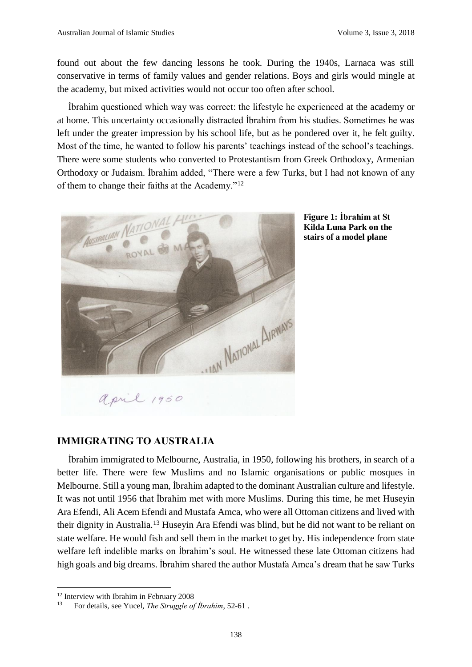found out about the few dancing lessons he took. During the 1940s, Larnaca was still conservative in terms of family values and gender relations. Boys and girls would mingle at the academy, but mixed activities would not occur too often after school.

İbrahim questioned which way was correct: the lifestyle he experienced at the academy or at home. This uncertainty occasionally distracted İbrahim from his studies. Sometimes he was left under the greater impression by his school life, but as he pondered over it, he felt guilty. Most of the time, he wanted to follow his parents' teachings instead of the school's teachings. There were some students who converted to Protestantism from Greek Orthodoxy, Armenian Orthodoxy or Judaism. İbrahim added, "There were a few Turks, but I had not known of any of them to change their faiths at the Academy."<sup>12</sup>





#### **IMMIGRATING TO AUSTRALIA**

İbrahim immigrated to Melbourne, Australia, in 1950, following his brothers, in search of a better life. There were few Muslims and no Islamic organisations or public mosques in Melbourne. Still a young man, İbrahim adapted to the dominant Australian culture and lifestyle. It was not until 1956 that İbrahim met with more Muslims. During this time, he met Huseyin Ara Efendi, Ali Acem Efendi and Mustafa Amca, who were all Ottoman citizens and lived with their dignity in Australia.<sup>13</sup> Huseyin Ara Efendi was blind, but he did not want to be reliant on state welfare. He would fish and sell them in the market to get by. His independence from state welfare left indelible marks on İbrahim's soul. He witnessed these late Ottoman citizens had high goals and big dreams. İbrahim shared the author Mustafa Amca's dream that he saw Turks

<sup>&</sup>lt;sup>12</sup> Interview with Ibrahim in February 2008

<sup>13</sup> For details, see Yucel, *The Struggle of İbrahim*, 52-61 .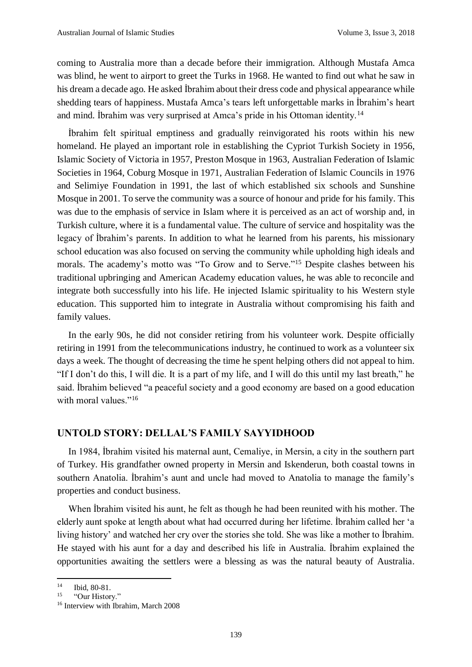coming to Australia more than a decade before their immigration. Although Mustafa Amca was blind, he went to airport to greet the Turks in 1968. He wanted to find out what he saw in his dream a decade ago. He asked İbrahim about their dress code and physical appearance while shedding tears of happiness. Mustafa Amca's tears left unforgettable marks in İbrahim's heart and mind. İbrahim was very surprised at Amca's pride in his Ottoman identity.<sup>14</sup>

İbrahim felt spiritual emptiness and gradually reinvigorated his roots within his new homeland. He played an important role in establishing the Cypriot Turkish Society in 1956, Islamic Society of Victoria in 1957, Preston Mosque in 1963, Australian Federation of Islamic Societies in 1964, Coburg Mosque in 1971, Australian Federation of Islamic Councils in 1976 and Selimiye Foundation in 1991, the last of which established six schools and Sunshine Mosque in 2001. To serve the community was a source of honour and pride for his family. This was due to the emphasis of service in Islam where it is perceived as an act of worship and, in Turkish culture, where it is a fundamental value. The culture of service and hospitality was the legacy of İbrahim's parents. In addition to what he learned from his parents, his missionary school education was also focused on serving the community while upholding high ideals and morals. The academy's motto was "To Grow and to Serve."<sup>15</sup> Despite clashes between his traditional upbringing and American Academy education values, he was able to reconcile and integrate both successfully into his life. He injected Islamic spirituality to his Western style education. This supported him to integrate in Australia without compromising his faith and family values.

In the early 90s, he did not consider retiring from his volunteer work. Despite officially retiring in 1991 from the telecommunications industry, he continued to work as a volunteer six days a week. The thought of decreasing the time he spent helping others did not appeal to him. "If I don't do this, I will die. It is a part of my life, and I will do this until my last breath," he said. İbrahim believed "a peaceful society and a good economy are based on a good education with moral values."<sup>16</sup>

#### **UNTOLD STORY: DELLAL'S FAMILY SAYYIDHOOD**

In 1984, İbrahim visited his maternal aunt, Cemaliye, in Mersin, a city in the southern part of Turkey. His grandfather owned property in Mersin and Iskenderun, both coastal towns in southern Anatolia. İbrahim's aunt and uncle had moved to Anatolia to manage the family's properties and conduct business.

When İbrahim visited his aunt, he felt as though he had been reunited with his mother. The elderly aunt spoke at length about what had occurred during her lifetime. İbrahim called her 'a living history' and watched her cry over the stories she told. She was like a mother to İbrahim. He stayed with his aunt for a day and described his life in Australia. İbrahim explained the opportunities awaiting the settlers were a blessing as was the natural beauty of Australia.

<sup>&</sup>lt;sup>14</sup> Ibid, 80-81.<br><sup>15</sup> "Our Histor"

<sup>&</sup>quot;Our History."

<sup>&</sup>lt;sup>16</sup> Interview with Ibrahim, March 2008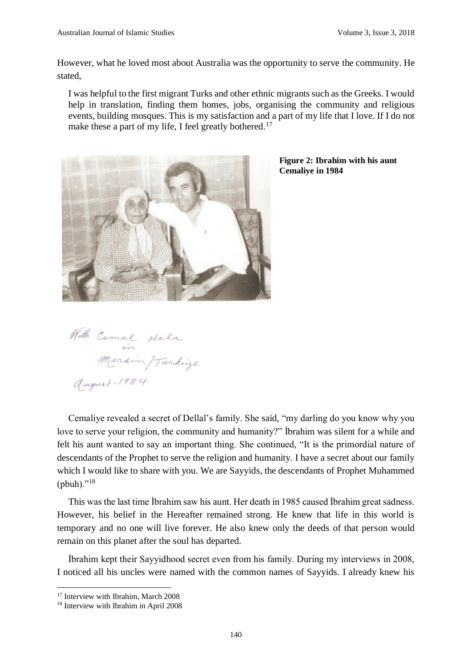However, what he loved most about Australia was the opportunity to serve the community. He stated,

I was helpful to the first migrant Turks and other ethnic migrants such as the Greeks. I would help in translation, finding them homes, jobs, organising the community and religious events, building mosques. This is my satisfaction and a part of my life that I love. If I do not make these a part of my life, I feel greatly bothered.<sup>17</sup>



**Figure 2: Ibrahim with his aunt Cemaliye in 1984**

With Cemal Hala august-1984

Cemaliye revealed a secret of Dellal's family. She said, "my darling do you know why you love to serve your religion, the community and humanity?" İbrahim was silent for a while and felt his aunt wanted to say an important thing. She continued, "It is the primordial nature of descendants of the Prophet to serve the religion and humanity. I have a secret about our family which I would like to share with you. We are Sayyids, the descendants of Prophet Muhammed (pbuh)." $18$ 

This was the last time İbrahim saw his aunt. Her death in 1985 caused İbrahim great sadness. However, his belief in the Hereafter remained strong. He knew that life in this world is temporary and no one will live forever. He also knew only the deeds of that person would remain on this planet after the soul has departed.

İbrahim kept their Sayyidhood secret even from his family. During my interviews in 2008, I noticed all his uncles were named with the common names of Sayyids. I already knew his

<sup>&</sup>lt;sup>17</sup> Interview with Ibrahim, March 2008

<sup>&</sup>lt;sup>18</sup> Interview with Ibrahim in April 2008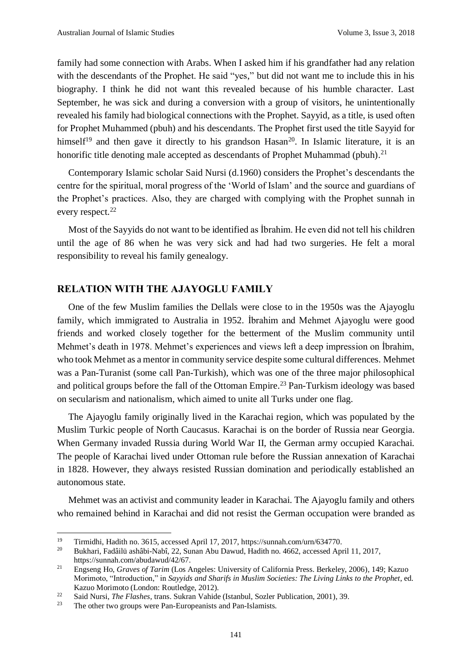family had some connection with Arabs. When I asked him if his grandfather had any relation with the descendants of the Prophet. He said "yes," but did not want me to include this in his biography. I think he did not want this revealed because of his humble character. Last September, he was sick and during a conversion with a group of visitors, he unintentionally revealed his family had biological connections with the Prophet. Sayyid, as a title, is used often for Prophet Muhammed (pbuh) and his descendants. The Prophet first used the title Sayyid for himself<sup>19</sup> and then gave it directly to his grandson Hasan<sup>20</sup>. In Islamic literature, it is an honorific title denoting male accepted as descendants of Prophet Muhammad (pbuh).<sup>21</sup>

Contemporary Islamic scholar Said Nursi (d.1960) considers the Prophet's descendants the centre for the spiritual, moral progress of the 'World of Islam' and the source and guardians of the Prophet's practices. Also, they are charged with complying with the Prophet sunnah in every respect.<sup>22</sup>

Most of the Sayyids do not want to be identified as İbrahim. He even did not tell his children until the age of 86 when he was very sick and had had two surgeries. He felt a moral responsibility to reveal his family genealogy.

#### **RELATION WITH THE AJAYOGLU FAMILY**

One of the few Muslim families the Dellals were close to in the 1950s was the Ajayoglu family, which immigrated to Australia in 1952. İbrahim and Mehmet Ajayoglu were good friends and worked closely together for the betterment of the Muslim community until Mehmet's death in 1978. Mehmet's experiences and views left a deep impression on İbrahim, who took Mehmet as a mentor in community service despite some cultural differences. Mehmet was a Pan-Turanist (some call Pan-Turkish), which was one of the three major philosophical and political groups before the fall of the Ottoman Empire. <sup>23</sup> Pan-Turkism ideology was based on secularism and nationalism, which aimed to unite all Turks under one flag.

The Ajayoglu family originally lived in the Karachai region, which was populated by the Muslim Turkic people of North Caucasus. Karachai is on the border of Russia near Georgia. When Germany invaded Russia during World War II, the German army occupied Karachai. The people of Karachai lived under Ottoman rule before the Russian annexation of Karachai in 1828. However, they always resisted Russian domination and periodically established an autonomous state.

Mehmet was an activist and community leader in Karachai. The Ajayoglu family and others who remained behind in Karachai and did not resist the German occupation were branded as

<sup>&</sup>lt;sup>19</sup> Tirmidhi, Hadith no. 3615, accessed April 17, 2017, https://sunnah.com/urn/634770.<br><sup>20</sup> Bukhari, Eadâilii ashâbi-Nabî 22 Sunan Abu Dawud, Hadith no. 4662, accessed Apr

<sup>20</sup> Bukhari, Fadâilü ashâbi-Nabî, 22, Sunan Abu Dawud, Hadith no. 4662, accessed April 11, 2017, https://sunnah.com/abudawud/42/67.

<sup>21</sup> Engseng Ho, *Graves of Tarim* (Los Angeles: University of California Press. Berkeley, 2006), 149; Kazuo Morimoto, "Introduction," in *Sayyids and Sharifs in Muslim Societies: The Living Links to the Prophet*, ed. Kazuo Morimoto (London: Routledge, 2012).

<sup>&</sup>lt;sup>22</sup> Said Nursi, *The Flashes*, trans. Sukran Vahide (Istanbul, Sozler Publication, 2001), 39.<br><sup>23</sup> The other two groups were Pan-Europeanists and Pan-Islamists

The other two groups were Pan-Europeanists and Pan-Islamists.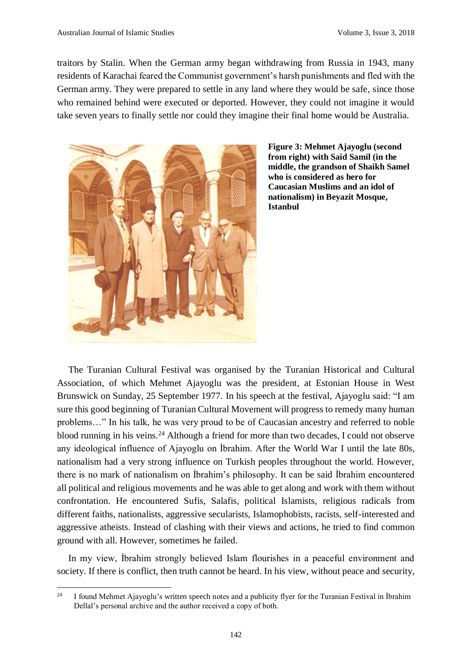traitors by Stalin. When the German army began withdrawing from Russia in 1943, many residents of Karachai feared the Communist government's harsh punishments and fled with the German army. They were prepared to settle in any land where they would be safe, since those who remained behind were executed or deported. However, they could not imagine it would take seven years to finally settle nor could they imagine their final home would be Australia.



**Figure 3: Mehmet Ajayoglu (second from right) with Said Samil (in the middle, the grandson of Shaikh Samel who is considered as hero for Caucasian Muslims and an idol of nationalism) in Beyazit Mosque, Istanbul**

The Turanian Cultural Festival was organised by the Turanian Historical and Cultural Association, of which Mehmet Ajayoglu was the president, at Estonian House in West Brunswick on Sunday, 25 September 1977. In his speech at the festival, Ajayoglu said: "I am sure this good beginning of Turanian Cultural Movement will progress to remedy many human problems…" In his talk, he was very proud to be of Caucasian ancestry and referred to noble blood running in his veins.<sup>24</sup> Although a friend for more than two decades, I could not observe any ideological influence of Ajayoglu on İbrahim. After the World War I until the late 80s, nationalism had a very strong influence on Turkish peoples throughout the world. However, there is no mark of nationalism on İbrahim's philosophy. It can be said İbrahim encountered all political and religious movements and he was able to get along and work with them without confrontation. He encountered Sufis, Salafis, political Islamists, religious radicals from different faiths, nationalists, aggressive secularists, Islamophobists, racists, self-interested and aggressive atheists. Instead of clashing with their views and actions, he tried to find common ground with all. However, sometimes he failed.

In my view, İbrahim strongly believed Islam flourishes in a peaceful environment and society. If there is conflict, then truth cannot be heard. In his view, without peace and security,

 $24$ I found Mehmet Ajayoglu's written speech notes and a publicity flyer for the Turanian Festival in Ibrahim Dellal's personal archive and the author received a copy of both.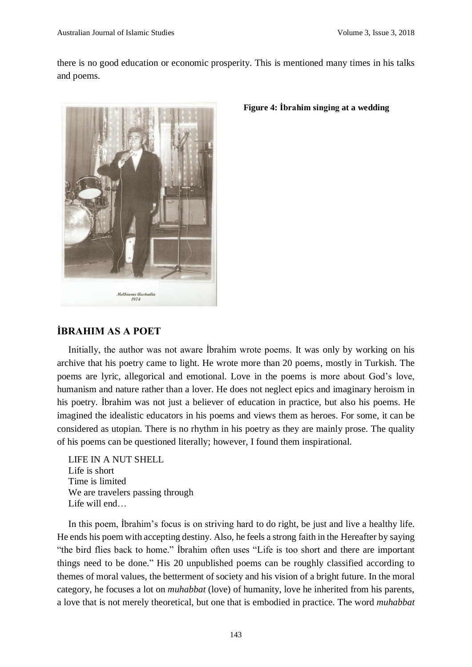there is no good education or economic prosperity. This is mentioned many times in his talks and poems.



#### **Figure 4: İbrahim singing at a wedding**

### **İBRAHIM AS A POET**

Initially, the author was not aware İbrahim wrote poems. It was only by working on his archive that his poetry came to light. He wrote more than 20 poems, mostly in Turkish. The poems are lyric, allegorical and emotional. Love in the poems is more about God's love, humanism and nature rather than a lover. He does not neglect epics and imaginary heroism in his poetry. İbrahim was not just a believer of education in practice, but also his poems. He imagined the idealistic educators in his poems and views them as heroes. For some, it can be considered as utopian. There is no rhythm in his poetry as they are mainly prose. The quality of his poems can be questioned literally; however, I found them inspirational.

LIFE IN A NUT SHELL Life is short Time is limited We are travelers passing through Life will end…

In this poem, İbrahim's focus is on striving hard to do right, be just and live a healthy life. He ends his poem with accepting destiny. Also, he feels a strong faith in the Hereafter by saying "the bird flies back to home." İbrahim often uses "Life is too short and there are important things need to be done." His 20 unpublished poems can be roughly classified according to themes of moral values, the betterment of society and his vision of a bright future. In the moral category, he focuses a lot on *muhabbat* (love) of humanity, love he inherited from his parents, a love that is not merely theoretical, but one that is embodied in practice. The word *muhabbat*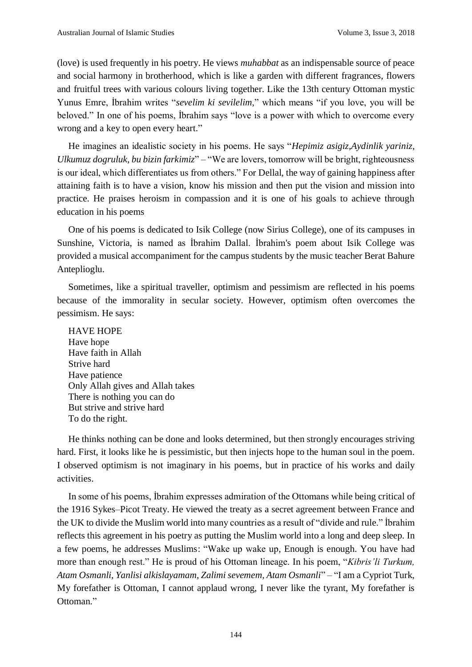(love) is used frequently in his poetry. He views *muhabbat* as an indispensable source of peace and social harmony in brotherhood, which is like a garden with different fragrances, flowers and fruitful trees with various colours living together. Like the 13th century Ottoman mystic Yunus Emre, İbrahim writes "*sevelim ki sevilelim*," which means "if you love, you will be beloved." In one of his poems, İbrahim says "love is a power with which to overcome every wrong and a key to open every heart."

He imagines an idealistic society in his poems. He says "*Hepimiz asigiz,Aydinlik yariniz, Ulkumuz dogruluk, bu bizin farkimiz*" – "We are lovers, tomorrow will be bright, righteousness is our ideal, which differentiates us from others." For Dellal, the way of gaining happiness after attaining faith is to have a vision, know his mission and then put the vision and mission into practice. He praises heroism in compassion and it is one of his goals to achieve through education in his poems

One of his poems is dedicated to Isik College (now Sirius College), one of its campuses in Sunshine, Victoria, is named as İbrahim Dallal. İbrahim's poem about Isik College was provided a musical accompaniment for the campus students by the music teacher Berat Bahure Anteplioglu.

Sometimes, like a spiritual traveller, optimism and pessimism are reflected in his poems because of the immorality in secular society. However, optimism often overcomes the pessimism. He says:

HAVE HOPE Have hope Have faith in Allah Strive hard Have patience Only Allah gives and Allah takes There is nothing you can do But strive and strive hard To do the right.

He thinks nothing can be done and looks determined, but then strongly encourages striving hard. First, it looks like he is pessimistic, but then injects hope to the human soul in the poem. I observed optimism is not imaginary in his poems, but in practice of his works and daily activities.

In some of his poems, İbrahim expresses admiration of the Ottomans while being critical of the 1916 Sykes–Picot Treaty. He viewed the treaty as a secret agreement between France and the UK to divide the Muslim world into many countries as a result of "divide and rule." İbrahim reflects this agreement in his poetry as putting the Muslim world into a long and deep sleep. In a few poems, he addresses Muslims: "Wake up wake up, Enough is enough. You have had more than enough rest." He is proud of his Ottoman lineage. In his poem, "*Kibris'li Turkum, Atam Osmanli, Yanlisi alkislayamam, Zalimi sevemem, Atam Osmanli*" – "I am a Cypriot Turk, My forefather is Ottoman, I cannot applaud wrong, I never like the tyrant, My forefather is Ottoman."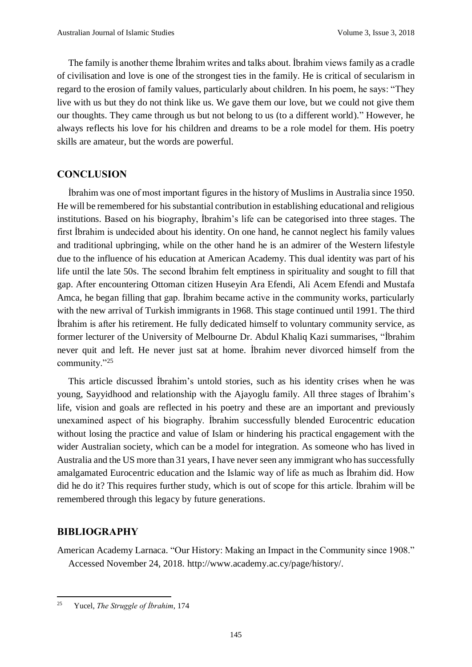The family is another theme İbrahim writes and talks about. İbrahim views family as a cradle of civilisation and love is one of the strongest ties in the family. He is critical of secularism in regard to the erosion of family values, particularly about children. In his poem, he says: "They live with us but they do not think like us. We gave them our love, but we could not give them our thoughts. They came through us but not belong to us (to a different world)." However, he always reflects his love for his children and dreams to be a role model for them. His poetry skills are amateur, but the words are powerful.

#### **CONCLUSION**

İbrahim was one of most important figures in the history of Muslims in Australia since 1950. He will be remembered for his substantial contribution in establishing educational and religious institutions. Based on his biography, İbrahim's life can be categorised into three stages. The first İbrahim is undecided about his identity. On one hand, he cannot neglect his family values and traditional upbringing, while on the other hand he is an admirer of the Western lifestyle due to the influence of his education at American Academy. This dual identity was part of his life until the late 50s. The second İbrahim felt emptiness in spirituality and sought to fill that gap. After encountering Ottoman citizen Huseyin Ara Efendi, Ali Acem Efendi and Mustafa Amca, he began filling that gap. İbrahim became active in the community works, particularly with the new arrival of Turkish immigrants in 1968. This stage continued until 1991. The third İbrahim is after his retirement. He fully dedicated himself to voluntary community service, as former lecturer of the University of Melbourne Dr. Abdul Khaliq Kazi summarises, "İbrahim never quit and left. He never just sat at home. İbrahim never divorced himself from the community."<sup>25</sup>

This article discussed İbrahim's untold stories, such as his identity crises when he was young, Sayyidhood and relationship with the Ajayoglu family. All three stages of İbrahim's life, vision and goals are reflected in his poetry and these are an important and previously unexamined aspect of his biography. İbrahim successfully blended Eurocentric education without losing the practice and value of Islam or hindering his practical engagement with the wider Australian society, which can be a model for integration. As someone who has lived in Australia and the US more than 31 years, I have never seen any immigrant who has successfully amalgamated Eurocentric education and the Islamic way of life as much as İbrahim did. How did he do it? This requires further study, which is out of scope for this article. İbrahim will be remembered through this legacy by future generations.

#### **BIBLIOGRAPHY**

.

American Academy Larnaca. "Our History: Making an Impact in the Community since 1908." Accessed November 24, 2018. http://www.academy.ac.cy/page/history/.

<sup>25</sup> Yucel, *The Struggle of İbrahim*, 174